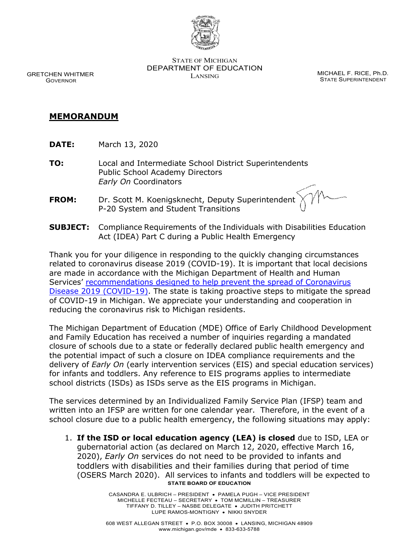

STATE OF MICHIGAN DEPARTMENT OF EDUCATION LANSING CONTROL CONTROL MICHAEL F. RICE, Ph.D.

STATE SUPERINTENDENT

GRETCHEN WHITMER GOVERNOR

## **MEMORANDUM**

- **DATE:** March 13, 2020
- **TO:** Local and Intermediate School District Superintendents Public School Academy Directors *Early On* Coordinators
- **FROM:** Dr. Scott M. Koenigsknecht, Deputy Superintendent P-20 System and Student Transitions
- **SUBJECT:** Compliance Requirements of the Individuals with Disabilities Education Act (IDEA) Part C during a Public Health Emergency

Thank you for your diligence in responding to the quickly changing circumstances related to coronavirus disease 2019 (COVID-19). It is important that local decisions are made in accordance with the Michigan Department of Health and Human Services' recommendations designed to help prevent the spread of Coronavirus [Disease 2019 \(COVID-19\).](https://gcc01.safelinks.protection.outlook.com/?url=https%3A%2F%2Fwww.michigan.gov%2Fcoronavirus%2F0%2C9753%2C7-406-98163-521463--%2C00.html&data=02%7C01%7COconnorC1%40michigan.gov%7C6a9100d746c84886770308d7c754e0f8%7Cd5fb7087377742ad966a892ef47225d1%7C0%7C0%7C637197039718222225&sdata=X5%2BnI4Z0HB0Ipb1N4IqyhXZIFG52x%2Fz8zNMTQUnr5NE%3D&reserved=0) The state is taking proactive steps to mitigate the spread of COVID-19 in Michigan. We appreciate your understanding and cooperation in reducing the coronavirus risk to Michigan residents.

The Michigan Department of Education (MDE) Office of Early Childhood Development and Family Education has received a number of inquiries regarding a mandated closure of schools due to a state or federally declared public health emergency and the potential impact of such a closure on IDEA compliance requirements and the delivery of *Early On* (early intervention services (EIS) and special education services) for infants and toddlers. Any reference to EIS programs applies to intermediate school districts (ISDs) as ISDs serve as the EIS programs in Michigan.

The services determined by an Individualized Family Service Plan (IFSP) team and written into an IFSP are written for one calendar year. Therefore, in the event of a school closure due to a public health emergency, the following situations may apply:

**STATE BOARD OF EDUCATION** 1. **If the ISD or local education agency (LEA) is closed** due to ISD, LEA or gubernatorial action (as declared on March 12, 2020, effective March 16, 2020), *Early On* services do not need to be provided to infants and toddlers with disabilities and their families during that period of time (OSERS March 2020). All services to infants and toddlers will be expected to

> CASANDRA E. ULBRICH – PRESIDENT • PAMELA PUGH – VICE PRESIDENT MICHELLE FECTEAU – SECRETARY • TOM MCMILLIN – TREASURER TIFFANY D. TILLEY – NASBE DELEGATE • JUDITH PRITCHETT LUPE RAMOS-MONTIGNY • NIKKI SNYDER